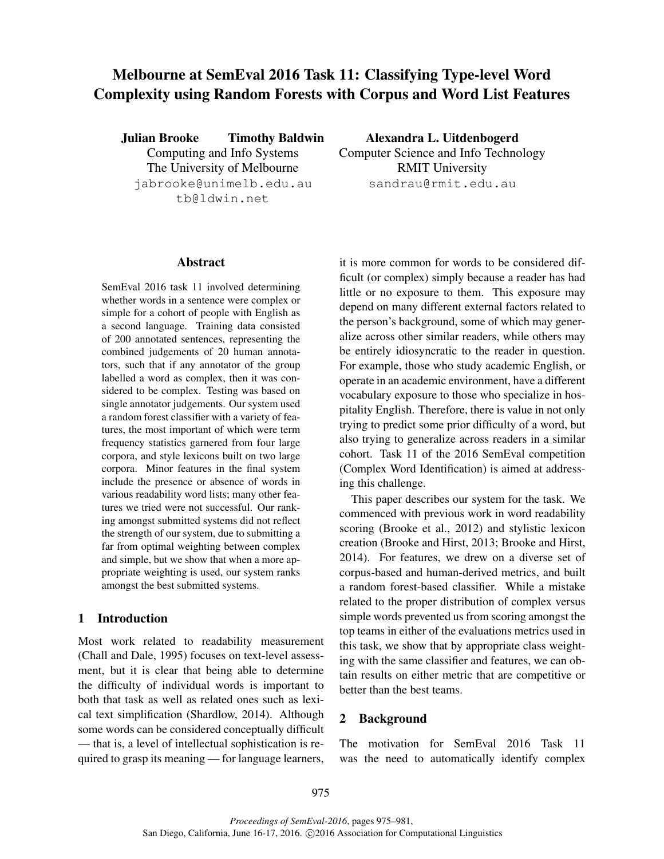# Melbourne at SemEval 2016 Task 11: Classifying Type-level Word Complexity using Random Forests with Corpus and Word List Features

Julian Brooke Timothy Baldwin Computing and Info Systems The University of Melbourne jabrooke@unimelb.edu.au tb@ldwin.net

Alexandra L. Uitdenbogerd Computer Science and Info Technology RMIT University sandrau@rmit.edu.au

### Abstract

SemEval 2016 task 11 involved determining whether words in a sentence were complex or simple for a cohort of people with English as a second language. Training data consisted of 200 annotated sentences, representing the combined judgements of 20 human annotators, such that if any annotator of the group labelled a word as complex, then it was considered to be complex. Testing was based on single annotator judgements. Our system used a random forest classifier with a variety of features, the most important of which were term frequency statistics garnered from four large corpora, and style lexicons built on two large corpora. Minor features in the final system include the presence or absence of words in various readability word lists; many other features we tried were not successful. Our ranking amongst submitted systems did not reflect the strength of our system, due to submitting a far from optimal weighting between complex and simple, but we show that when a more appropriate weighting is used, our system ranks amongst the best submitted systems.

#### 1 Introduction

Most work related to readability measurement (Chall and Dale, 1995) focuses on text-level assessment, but it is clear that being able to determine the difficulty of individual words is important to both that task as well as related ones such as lexical text simplification (Shardlow, 2014). Although some words can be considered conceptually difficult — that is, a level of intellectual sophistication is required to grasp its meaning — for language learners, it is more common for words to be considered difficult (or complex) simply because a reader has had little or no exposure to them. This exposure may depend on many different external factors related to the person's background, some of which may generalize across other similar readers, while others may be entirely idiosyncratic to the reader in question. For example, those who study academic English, or operate in an academic environment, have a different vocabulary exposure to those who specialize in hospitality English. Therefore, there is value in not only trying to predict some prior difficulty of a word, but also trying to generalize across readers in a similar cohort. Task 11 of the 2016 SemEval competition (Complex Word Identification) is aimed at addressing this challenge.

This paper describes our system for the task. We commenced with previous work in word readability scoring (Brooke et al., 2012) and stylistic lexicon creation (Brooke and Hirst, 2013; Brooke and Hirst, 2014). For features, we drew on a diverse set of corpus-based and human-derived metrics, and built a random forest-based classifier. While a mistake related to the proper distribution of complex versus simple words prevented us from scoring amongst the top teams in either of the evaluations metrics used in this task, we show that by appropriate class weighting with the same classifier and features, we can obtain results on either metric that are competitive or better than the best teams.

#### 2 Background

The motivation for SemEval 2016 Task 11 was the need to automatically identify complex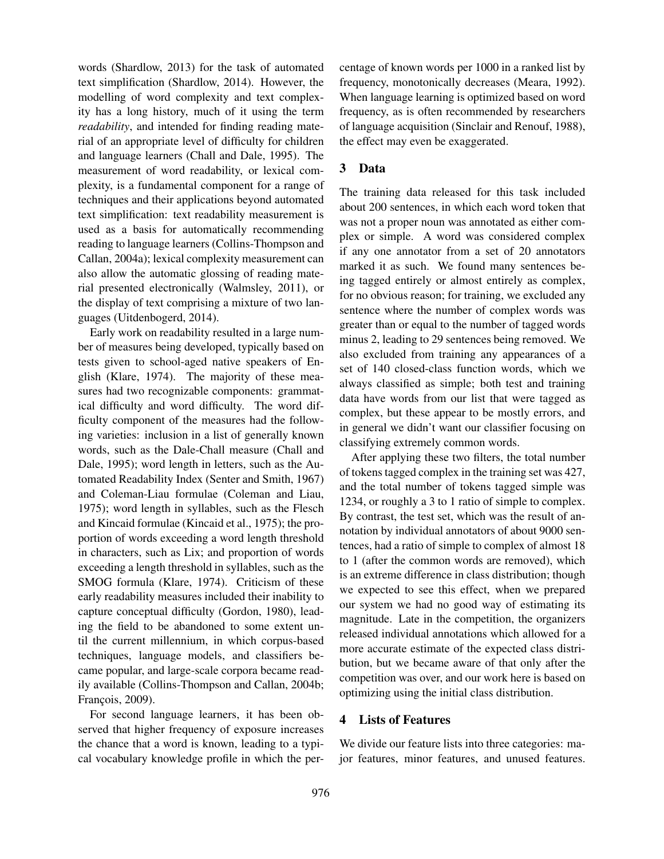words (Shardlow, 2013) for the task of automated text simplification (Shardlow, 2014). However, the modelling of word complexity and text complexity has a long history, much of it using the term *readability*, and intended for finding reading material of an appropriate level of difficulty for children and language learners (Chall and Dale, 1995). The measurement of word readability, or lexical complexity, is a fundamental component for a range of techniques and their applications beyond automated text simplification: text readability measurement is used as a basis for automatically recommending reading to language learners (Collins-Thompson and Callan, 2004a); lexical complexity measurement can also allow the automatic glossing of reading material presented electronically (Walmsley, 2011), or the display of text comprising a mixture of two languages (Uitdenbogerd, 2014).

Early work on readability resulted in a large number of measures being developed, typically based on tests given to school-aged native speakers of English (Klare, 1974). The majority of these measures had two recognizable components: grammatical difficulty and word difficulty. The word difficulty component of the measures had the following varieties: inclusion in a list of generally known words, such as the Dale-Chall measure (Chall and Dale, 1995); word length in letters, such as the Automated Readability Index (Senter and Smith, 1967) and Coleman-Liau formulae (Coleman and Liau, 1975); word length in syllables, such as the Flesch and Kincaid formulae (Kincaid et al., 1975); the proportion of words exceeding a word length threshold in characters, such as Lix; and proportion of words exceeding a length threshold in syllables, such as the SMOG formula (Klare, 1974). Criticism of these early readability measures included their inability to capture conceptual difficulty (Gordon, 1980), leading the field to be abandoned to some extent until the current millennium, in which corpus-based techniques, language models, and classifiers became popular, and large-scale corpora became readily available (Collins-Thompson and Callan, 2004b; François, 2009).

For second language learners, it has been observed that higher frequency of exposure increases the chance that a word is known, leading to a typical vocabulary knowledge profile in which the percentage of known words per 1000 in a ranked list by frequency, monotonically decreases (Meara, 1992). When language learning is optimized based on word frequency, as is often recommended by researchers of language acquisition (Sinclair and Renouf, 1988), the effect may even be exaggerated.

## 3 Data

The training data released for this task included about 200 sentences, in which each word token that was not a proper noun was annotated as either complex or simple. A word was considered complex if any one annotator from a set of 20 annotators marked it as such. We found many sentences being tagged entirely or almost entirely as complex, for no obvious reason; for training, we excluded any sentence where the number of complex words was greater than or equal to the number of tagged words minus 2, leading to 29 sentences being removed. We also excluded from training any appearances of a set of 140 closed-class function words, which we always classified as simple; both test and training data have words from our list that were tagged as complex, but these appear to be mostly errors, and in general we didn't want our classifier focusing on classifying extremely common words.

After applying these two filters, the total number of tokens tagged complex in the training set was 427, and the total number of tokens tagged simple was 1234, or roughly a 3 to 1 ratio of simple to complex. By contrast, the test set, which was the result of annotation by individual annotators of about 9000 sentences, had a ratio of simple to complex of almost 18 to 1 (after the common words are removed), which is an extreme difference in class distribution; though we expected to see this effect, when we prepared our system we had no good way of estimating its magnitude. Late in the competition, the organizers released individual annotations which allowed for a more accurate estimate of the expected class distribution, but we became aware of that only after the competition was over, and our work here is based on optimizing using the initial class distribution.

## 4 Lists of Features

We divide our feature lists into three categories: major features, minor features, and unused features.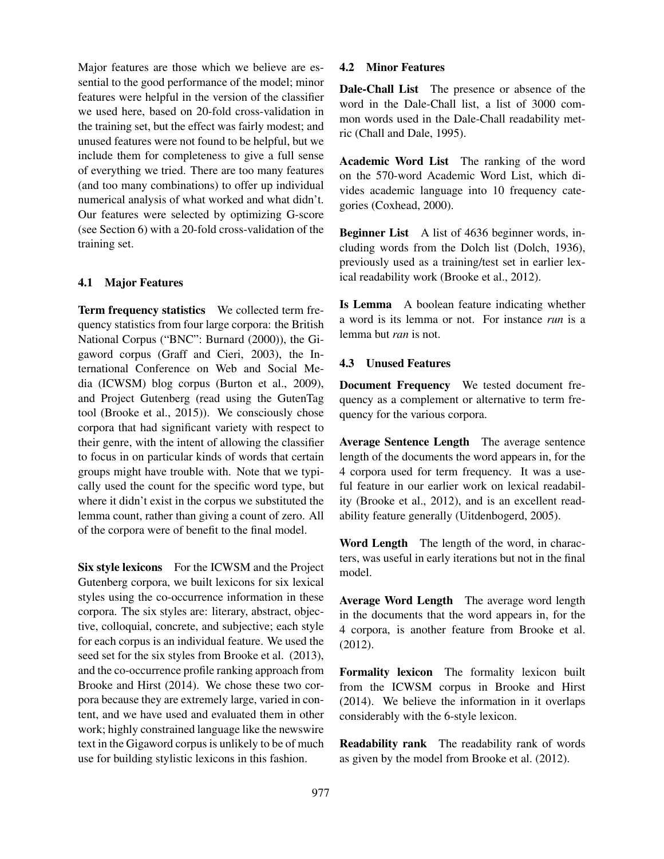Major features are those which we believe are essential to the good performance of the model; minor features were helpful in the version of the classifier we used here, based on 20-fold cross-validation in the training set, but the effect was fairly modest; and unused features were not found to be helpful, but we include them for completeness to give a full sense of everything we tried. There are too many features (and too many combinations) to offer up individual numerical analysis of what worked and what didn't. Our features were selected by optimizing G-score (see Section 6) with a 20-fold cross-validation of the training set.

#### 4.1 Major Features

Term frequency statistics We collected term frequency statistics from four large corpora: the British National Corpus ("BNC": Burnard (2000)), the Gigaword corpus (Graff and Cieri, 2003), the International Conference on Web and Social Media (ICWSM) blog corpus (Burton et al., 2009), and Project Gutenberg (read using the GutenTag tool (Brooke et al., 2015)). We consciously chose corpora that had significant variety with respect to their genre, with the intent of allowing the classifier to focus in on particular kinds of words that certain groups might have trouble with. Note that we typically used the count for the specific word type, but where it didn't exist in the corpus we substituted the lemma count, rather than giving a count of zero. All of the corpora were of benefit to the final model.

Six style lexicons For the ICWSM and the Project Gutenberg corpora, we built lexicons for six lexical styles using the co-occurrence information in these corpora. The six styles are: literary, abstract, objective, colloquial, concrete, and subjective; each style for each corpus is an individual feature. We used the seed set for the six styles from Brooke et al. (2013), and the co-occurrence profile ranking approach from Brooke and Hirst (2014). We chose these two corpora because they are extremely large, varied in content, and we have used and evaluated them in other work; highly constrained language like the newswire text in the Gigaword corpus is unlikely to be of much use for building stylistic lexicons in this fashion.

#### 4.2 Minor Features

Dale-Chall List The presence or absence of the word in the Dale-Chall list, a list of 3000 common words used in the Dale-Chall readability metric (Chall and Dale, 1995).

Academic Word List The ranking of the word on the 570-word Academic Word List, which divides academic language into 10 frequency categories (Coxhead, 2000).

Beginner List A list of 4636 beginner words, including words from the Dolch list (Dolch, 1936), previously used as a training/test set in earlier lexical readability work (Brooke et al., 2012).

Is Lemma A boolean feature indicating whether a word is its lemma or not. For instance *run* is a lemma but *ran* is not.

#### 4.3 Unused Features

Document Frequency We tested document frequency as a complement or alternative to term frequency for the various corpora.

Average Sentence Length The average sentence length of the documents the word appears in, for the 4 corpora used for term frequency. It was a useful feature in our earlier work on lexical readability (Brooke et al., 2012), and is an excellent readability feature generally (Uitdenbogerd, 2005).

Word Length The length of the word, in characters, was useful in early iterations but not in the final model.

Average Word Length The average word length in the documents that the word appears in, for the 4 corpora, is another feature from Brooke et al. (2012).

Formality lexicon The formality lexicon built from the ICWSM corpus in Brooke and Hirst (2014). We believe the information in it overlaps considerably with the 6-style lexicon.

Readability rank The readability rank of words as given by the model from Brooke et al. (2012).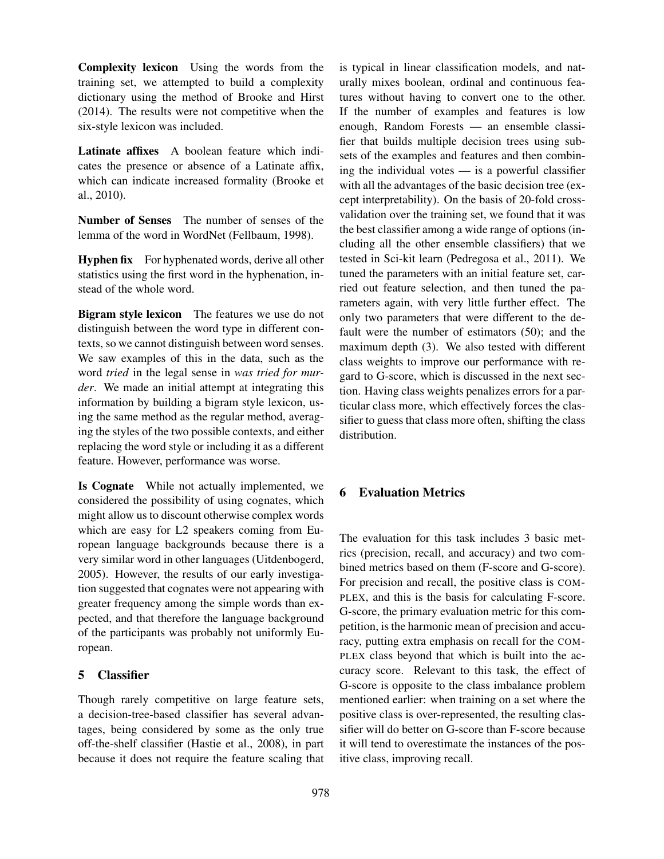Complexity lexicon Using the words from the training set, we attempted to build a complexity dictionary using the method of Brooke and Hirst (2014). The results were not competitive when the six-style lexicon was included.

Latinate affixes A boolean feature which indicates the presence or absence of a Latinate affix, which can indicate increased formality (Brooke et al., 2010).

Number of Senses The number of senses of the lemma of the word in WordNet (Fellbaum, 1998).

Hyphen fix For hyphenated words, derive all other statistics using the first word in the hyphenation, instead of the whole word.

Bigram style lexicon The features we use do not distinguish between the word type in different contexts, so we cannot distinguish between word senses. We saw examples of this in the data, such as the word *tried* in the legal sense in *was tried for murder*. We made an initial attempt at integrating this information by building a bigram style lexicon, using the same method as the regular method, averaging the styles of the two possible contexts, and either replacing the word style or including it as a different feature. However, performance was worse.

Is Cognate While not actually implemented, we considered the possibility of using cognates, which might allow us to discount otherwise complex words which are easy for L2 speakers coming from European language backgrounds because there is a very similar word in other languages (Uitdenbogerd, 2005). However, the results of our early investigation suggested that cognates were not appearing with greater frequency among the simple words than expected, and that therefore the language background of the participants was probably not uniformly European.

## 5 Classifier

Though rarely competitive on large feature sets, a decision-tree-based classifier has several advantages, being considered by some as the only true off-the-shelf classifier (Hastie et al., 2008), in part because it does not require the feature scaling that is typical in linear classification models, and naturally mixes boolean, ordinal and continuous features without having to convert one to the other. If the number of examples and features is low enough, Random Forests — an ensemble classifier that builds multiple decision trees using subsets of the examples and features and then combining the individual votes — is a powerful classifier with all the advantages of the basic decision tree (except interpretability). On the basis of 20-fold crossvalidation over the training set, we found that it was the best classifier among a wide range of options (including all the other ensemble classifiers) that we tested in Sci-kit learn (Pedregosa et al., 2011). We tuned the parameters with an initial feature set, carried out feature selection, and then tuned the parameters again, with very little further effect. The only two parameters that were different to the default were the number of estimators (50); and the maximum depth (3). We also tested with different class weights to improve our performance with regard to G-score, which is discussed in the next section. Having class weights penalizes errors for a particular class more, which effectively forces the classifier to guess that class more often, shifting the class distribution.

## 6 Evaluation Metrics

The evaluation for this task includes 3 basic metrics (precision, recall, and accuracy) and two combined metrics based on them (F-score and G-score). For precision and recall, the positive class is COM-PLEX, and this is the basis for calculating F-score. G-score, the primary evaluation metric for this competition, is the harmonic mean of precision and accuracy, putting extra emphasis on recall for the COM-PLEX class beyond that which is built into the accuracy score. Relevant to this task, the effect of G-score is opposite to the class imbalance problem mentioned earlier: when training on a set where the positive class is over-represented, the resulting classifier will do better on G-score than F-score because it will tend to overestimate the instances of the positive class, improving recall.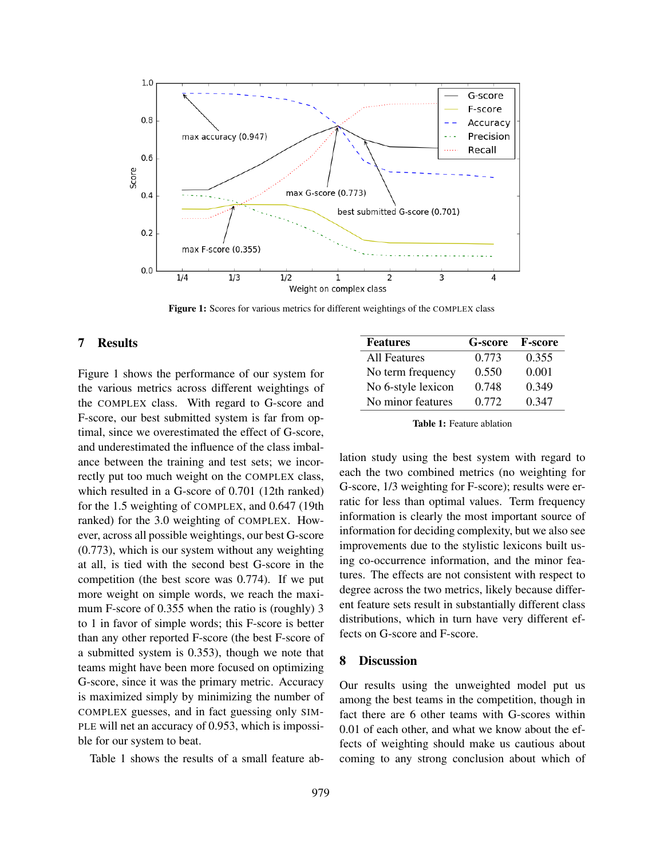

Figure 1: Scores for various metrics for different weightings of the COMPLEX class

#### 7 Results

Figure 1 shows the performance of our system for the various metrics across different weightings of the COMPLEX class. With regard to G-score and F-score, our best submitted system is far from optimal, since we overestimated the effect of G-score, and underestimated the influence of the class imbalance between the training and test sets; we incorrectly put too much weight on the COMPLEX class, which resulted in a G-score of 0.701 (12th ranked) for the 1.5 weighting of COMPLEX, and 0.647 (19th ranked) for the 3.0 weighting of COMPLEX. However, across all possible weightings, our best G-score (0.773), which is our system without any weighting at all, is tied with the second best G-score in the competition (the best score was 0.774). If we put more weight on simple words, we reach the maximum F-score of 0.355 when the ratio is (roughly) 3 to 1 in favor of simple words; this F-score is better than any other reported F-score (the best F-score of a submitted system is 0.353), though we note that teams might have been more focused on optimizing G-score, since it was the primary metric. Accuracy is maximized simply by minimizing the number of COMPLEX guesses, and in fact guessing only SIM-PLE will net an accuracy of 0.953, which is impossible for our system to beat.

Table 1 shows the results of a small feature ab-

| <b>Features</b>    | G-score F-score |       |
|--------------------|-----------------|-------|
| All Features       | 0.773           | 0.355 |
| No term frequency  | 0.550           | 0.001 |
| No 6-style lexicon | 0.748           | 0.349 |
| No minor features  | 0.772           | 0.347 |

Table 1: Feature ablation

lation study using the best system with regard to each the two combined metrics (no weighting for G-score, 1/3 weighting for F-score); results were erratic for less than optimal values. Term frequency information is clearly the most important source of information for deciding complexity, but we also see improvements due to the stylistic lexicons built using co-occurrence information, and the minor features. The effects are not consistent with respect to degree across the two metrics, likely because different feature sets result in substantially different class distributions, which in turn have very different effects on G-score and F-score.

#### 8 Discussion

Our results using the unweighted model put us among the best teams in the competition, though in fact there are 6 other teams with G-scores within 0.01 of each other, and what we know about the effects of weighting should make us cautious about coming to any strong conclusion about which of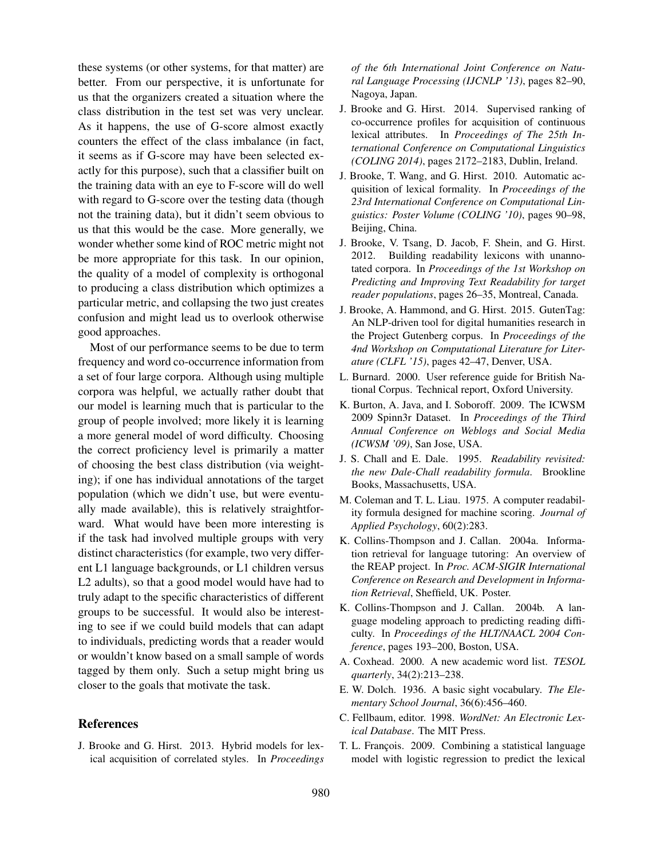these systems (or other systems, for that matter) are better. From our perspective, it is unfortunate for us that the organizers created a situation where the class distribution in the test set was very unclear. As it happens, the use of G-score almost exactly counters the effect of the class imbalance (in fact, it seems as if G-score may have been selected exactly for this purpose), such that a classifier built on the training data with an eye to F-score will do well with regard to G-score over the testing data (though not the training data), but it didn't seem obvious to us that this would be the case. More generally, we wonder whether some kind of ROC metric might not be more appropriate for this task. In our opinion, the quality of a model of complexity is orthogonal to producing a class distribution which optimizes a particular metric, and collapsing the two just creates confusion and might lead us to overlook otherwise good approaches.

Most of our performance seems to be due to term frequency and word co-occurrence information from a set of four large corpora. Although using multiple corpora was helpful, we actually rather doubt that our model is learning much that is particular to the group of people involved; more likely it is learning a more general model of word difficulty. Choosing the correct proficiency level is primarily a matter of choosing the best class distribution (via weighting); if one has individual annotations of the target population (which we didn't use, but were eventually made available), this is relatively straightforward. What would have been more interesting is if the task had involved multiple groups with very distinct characteristics (for example, two very different L1 language backgrounds, or L1 children versus L2 adults), so that a good model would have had to truly adapt to the specific characteristics of different groups to be successful. It would also be interesting to see if we could build models that can adapt to individuals, predicting words that a reader would or wouldn't know based on a small sample of words tagged by them only. Such a setup might bring us closer to the goals that motivate the task.

#### **References**

J. Brooke and G. Hirst. 2013. Hybrid models for lexical acquisition of correlated styles. In *Proceedings* *of the 6th International Joint Conference on Natural Language Processing (IJCNLP '13)*, pages 82–90, Nagoya, Japan.

- J. Brooke and G. Hirst. 2014. Supervised ranking of co-occurrence profiles for acquisition of continuous lexical attributes. In *Proceedings of The 25th International Conference on Computational Linguistics (COLING 2014)*, pages 2172–2183, Dublin, Ireland.
- J. Brooke, T. Wang, and G. Hirst. 2010. Automatic acquisition of lexical formality. In *Proceedings of the 23rd International Conference on Computational Linguistics: Poster Volume (COLING '10)*, pages 90–98, Beijing, China.
- J. Brooke, V. Tsang, D. Jacob, F. Shein, and G. Hirst. 2012. Building readability lexicons with unannotated corpora. In *Proceedings of the 1st Workshop on Predicting and Improving Text Readability for target reader populations*, pages 26–35, Montreal, Canada.
- J. Brooke, A. Hammond, and G. Hirst. 2015. GutenTag: An NLP-driven tool for digital humanities research in the Project Gutenberg corpus. In *Proceedings of the 4nd Workshop on Computational Literature for Literature (CLFL '15)*, pages 42–47, Denver, USA.
- L. Burnard. 2000. User reference guide for British National Corpus. Technical report, Oxford University.
- K. Burton, A. Java, and I. Soboroff. 2009. The ICWSM 2009 Spinn3r Dataset. In *Proceedings of the Third Annual Conference on Weblogs and Social Media (ICWSM '09)*, San Jose, USA.
- J. S. Chall and E. Dale. 1995. *Readability revisited: the new Dale-Chall readability formula*. Brookline Books, Massachusetts, USA.
- M. Coleman and T. L. Liau. 1975. A computer readability formula designed for machine scoring. *Journal of Applied Psychology*, 60(2):283.
- K. Collins-Thompson and J. Callan. 2004a. Information retrieval for language tutoring: An overview of the REAP project. In *Proc. ACM-SIGIR International Conference on Research and Development in Information Retrieval*, Sheffield, UK. Poster.
- K. Collins-Thompson and J. Callan. 2004b. A language modeling approach to predicting reading difficulty. In *Proceedings of the HLT/NAACL 2004 Conference*, pages 193–200, Boston, USA.
- A. Coxhead. 2000. A new academic word list. *TESOL quarterly*, 34(2):213–238.
- E. W. Dolch. 1936. A basic sight vocabulary. *The Elementary School Journal*, 36(6):456–460.
- C. Fellbaum, editor. 1998. *WordNet: An Electronic Lexical Database*. The MIT Press.
- T. L. François. 2009. Combining a statistical language model with logistic regression to predict the lexical